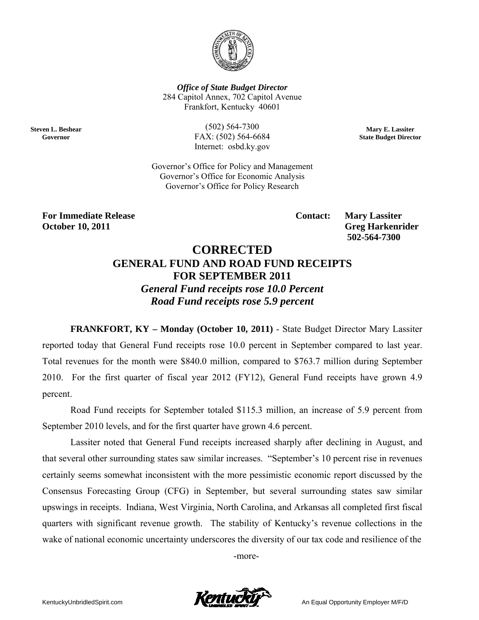

**Office of State Budget Director** 284 Capitol Annex, 702 Capitol Avenue Frankfort, Kentucky 40601

**Steven L. Beshear** Governor

 $(502) 564 - 7300$ FAX: (502) 564-6684 Internet: osbd.ky.gov

Mary E. Lassiter **State Budget Director** 

Governor's Office for Policy and Management Governor's Office for Economic Analysis Governor's Office for Policy Research

**For Immediate Release October 10, 2011** 

**Contact:** 

**Mary Lassiter Greg Harkenrider** 502-564-7300

# **CORRECTED GENERAL FUND AND ROAD FUND RECEIPTS FOR SEPTEMBER 2011 General Fund receipts rose 10.0 Percent** Road Fund receipts rose 5.9 percent

**FRANKFORT, KY – Monday (October 10, 2011) - State Budget Director Mary Lassiter** reported today that General Fund receipts rose 10.0 percent in September compared to last year. Total revenues for the month were \$840.0 million, compared to \$763.7 million during September 2010. For the first quarter of fiscal year 2012 (FY12), General Fund receipts have grown 4.9 percent.

Road Fund receipts for September totaled \$115.3 million, an increase of 5.9 percent from September 2010 levels, and for the first quarter have grown 4.6 percent.

Lassiter noted that General Fund receipts increased sharply after declining in August, and that several other surrounding states saw similar increases. "September's 10 percent rise in revenues certainly seems somewhat inconsistent with the more pessimistic economic report discussed by the Consensus Forecasting Group (CFG) in September, but several surrounding states saw similar upswings in receipts. Indiana, West Virginia, North Carolina, and Arkansas all completed first fiscal quarters with significant revenue growth. The stability of Kentucky's revenue collections in the wake of national economic uncertainty underscores the diversity of our tax code and resilience of the

-more-

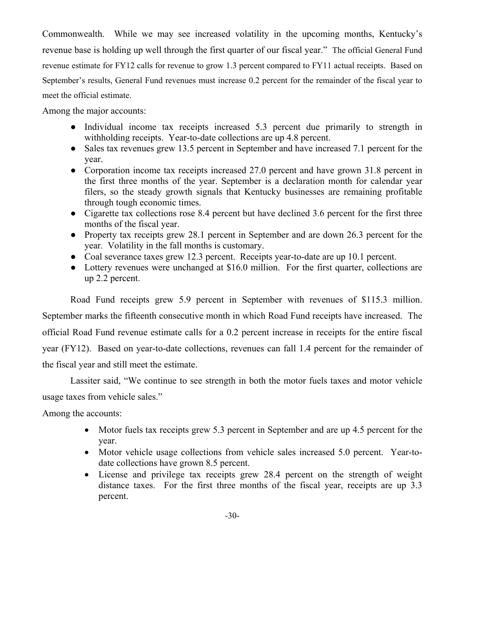Commonwealth. While we may see increased volatility in the upcoming months, Kentucky's revenue base is holding up well through the first quarter of our fiscal year." The official General Fund revenue estimate for FY12 calls for revenue to grow 1.3 percent compared to FY11 actual receipts. Based on September's results, General Fund revenues must increase 0.2 percent for the remainder of the fiscal year to meet the official estimate.

Among the major accounts:

- Individual income tax receipts increased 5.3 percent due primarily to strength in withholding receipts. Year-to-date collections are up 4.8 percent.
- Sales tax revenues grew 13.5 percent in September and have increased 7.1 percent for the year.
- Corporation income tax receipts increased 27.0 percent and have grown 31.8 percent in the first three months of the year. September is a declaration month for calendar year filers, so the steady growth signals that Kentucky businesses are remaining profitable through tough economic times.
- Cigarette tax collections rose 8.4 percent but have declined 3.6 percent for the first three months of the fiscal year.
- Property tax receipts grew 28.1 percent in September and are down 26.3 percent for the year. Volatility in the fall months is customary.
- Coal severance taxes grew 12.3 percent. Receipts year-to-date are up 10.1 percent.
- Lottery revenues were unchanged at \$16.0 million. For the first quarter, collections are up 2.2 percent.

Road Fund receipts grew 5.9 percent in September with revenues of \$115.3 million. September marks the fifteenth consecutive month in which Road Fund receipts have increased. The official Road Fund revenue estimate calls for a 0.2 percent increase in receipts for the entire fiscal year (FY12). Based on year-to-date collections, revenues can fall 1.4 percent for the remainder of the fiscal year and still meet the estimate.

Lassiter said, "We continue to see strength in both the motor fuels taxes and motor vehicle usage taxes from vehicle sales."

Among the accounts:

- Motor fuels tax receipts grew 5.3 percent in September and are up 4.5 percent for the year.
- Motor vehicle usage collections from vehicle sales increased 5.0 percent. Year-todate collections have grown 8.5 percent.
- License and privilege tax receipts grew 28.4 percent on the strength of weight distance taxes. For the first three months of the fiscal year, receipts are up 3.3 percent.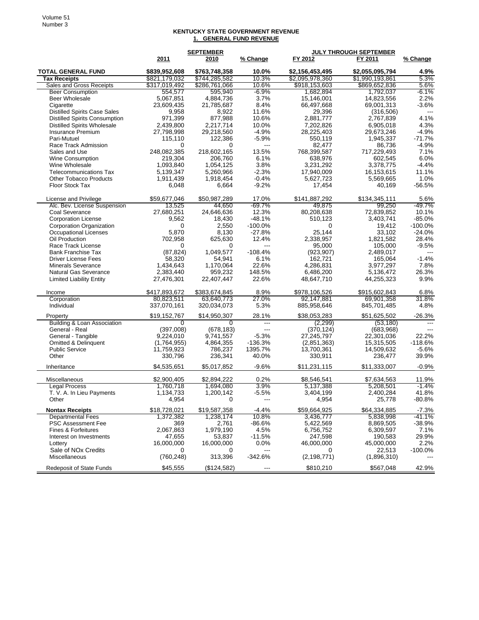#### **KENTUCKY STATE GOVERNMENT REVENUE 1. GENERAL FUND REVENUE**

|                                                  | <b>SEPTEMBER</b>          |                        | <b>JULY THROUGH SEPTEMBER</b>         |                        |                          |                     |
|--------------------------------------------------|---------------------------|------------------------|---------------------------------------|------------------------|--------------------------|---------------------|
|                                                  | 2011                      | 2010                   | % Change                              | FY 2012                | FY 2011                  | % Change            |
| <b>TOTAL GENERAL FUND</b>                        | \$839,952,608             | \$763,748,358          | 10.0%                                 | \$2,156,453,495        | \$2,055,095,794          | 4.9%                |
| <b>Tax Receipts</b>                              | \$821,179,032             | \$744,285,582          | 10.3%                                 | \$2,095,978,360        | \$1,990,193,861          | 5.3%                |
| Sales and Gross Receipts                         | \$317,019,492             | \$286,761,066          | 10.6%                                 | \$918,153,603          | \$869,652,836            | 5.6%                |
| <b>Beer Consumption</b>                          | 554,577                   | 595,940                | -6.9%                                 | 1,682,894              | 1,792,037                | -6.1%               |
| <b>Beer Wholesale</b>                            | 5,067,851                 | 4,884,736              | 3.7%                                  | 15,146,001             | 14,823,556               | 2.2%                |
| Cigarette                                        | 23,609,435                | 21,785,687             | 8.4%                                  | 66,497,668             | 69,001,313               | $-3.6%$             |
| <b>Distilled Spirits Case Sales</b>              | 9,958                     | 8,922                  | 11.6%                                 | 29,396                 | (316,506)                |                     |
| <b>Distilled Spirits Consumption</b>             | 971,399                   | 877,988                | 10.6%                                 | 2,881,777              | 2,767,839                | 4.1%                |
| <b>Distilled Spirits Wholesale</b>               | 2,439,800                 | 2,217,714              | 10.0%                                 | 7,202,826              | 6,905,018                | 4.3%                |
| Insurance Premium                                | 27,798,998                | 29,218,560             | $-4.9%$                               | 28,225,403             | 29,673,246               | $-4.9%$             |
| Pari-Mutuel                                      | 115,110<br>0              | 122,386<br>0           | $-5.9%$<br>$---$                      | 550,119                | 1,945,337                | $-71.7%$<br>$-4.9%$ |
| Race Track Admission                             | 248,082,385               |                        | 13.5%                                 | 82,477                 | 86,736<br>717,229,493    | 7.1%                |
| Sales and Use<br>Wine Consumption                | 219,304                   | 218,602,165<br>206,760 | 6.1%                                  | 768,399,587<br>638,976 | 602,545                  | 6.0%                |
| Wine Wholesale                                   | 1,093,840                 | 1,054,125              | 3.8%                                  | 3,231,292              | 3,378,775                | $-4.4%$             |
| <b>Telecommunications Tax</b>                    | 5,139,347                 | 5,260,966              | $-2.3%$                               | 17,940,009             | 16,153,615               | 11.1%               |
| <b>Other Tobacco Products</b>                    | 1,911,439                 | 1,918,454              | $-0.4%$                               | 5,627,723              | 5,569,665                | 1.0%                |
| Floor Stock Tax                                  | 6,048                     | 6,664                  | $-9.2%$                               | 17,454                 | 40,169                   | $-56.5%$            |
|                                                  |                           |                        |                                       |                        |                          |                     |
| License and Privilege                            | \$59,677,046              | \$50,987,289           | 17.0%                                 | \$141,887,292          | \$134,345,111            | 5.6%                |
| Alc. Bev. License Suspension                     | 13,525                    | 44.650                 | $-69.7%$                              | 49.875                 | 99.250                   | $-49.7%$            |
| Coal Severance                                   | 27,680,251                | 24,646,636             | 12.3%                                 | 80,208,638             | 72,839,852               | 10.1%               |
| <b>Corporation License</b>                       | 9,562                     | 18,430                 | $-48.1%$                              | 510,123                | 3,403,741                | $-85.0%$            |
| Corporation Organization                         | 0                         | 2,550                  | $-100.0%$                             | 0                      | 19,412                   | $-100.0%$           |
| Occupational Licenses                            | 5.870                     | 8,130                  | $-27.8%$                              | 25,144                 | 33,102                   | $-24.0%$            |
| Oil Production                                   | 702,958                   | 625.630                | 12.4%                                 | 2,338,957              | 1,821,582                | 28.4%               |
| Race Track License<br><b>Bank Franchise Tax</b>  | 0<br>(87, 824)            | 0<br>1,049,577         | ---<br>$-108.4%$                      | 95,000<br>(923, 907)   | 105,000<br>2,489,017     | $-9.5%$             |
| <b>Driver License Fees</b>                       | 58,320                    | 54,941                 | 6.1%                                  | 162,721                | 165,064                  | $-1.4%$             |
| <b>Minerals Severance</b>                        | 1,434,643                 | 1,170,064              | 22.6%                                 | 4,286,831              | 3,977,297                | 7.8%                |
| <b>Natural Gas Severance</b>                     | 2,383,440                 | 959.232                | 148.5%                                | 6,486,200              | 5,136,472                | 26.3%               |
| <b>Limited Liability Entity</b>                  | 27,476,301                | 22,407,447             | 22.6%                                 | 48,647,710             | 44,255,323               | 9.9%                |
|                                                  |                           |                        |                                       |                        |                          |                     |
| Income                                           | \$417,893,672             | \$383,674,845          | 8.9%                                  | \$978,106,526          | \$915,602,843            | 6.8%                |
| Corporation                                      | 80,823,511                | 63,640,773             | 27.0%                                 | 92,147,881             | 69,901,358               | 31.8%               |
| Individual                                       | 337,070,161               | 320,034,073            | 5.3%                                  | 885,958,646            | 845,701,485              | 4.8%                |
| Property                                         | \$19,152,767              | \$14,950,307           | 28.1%                                 | \$38,053,283           | \$51,625,502             | $-26.3%$            |
| Building & Loan Association                      | $\Omega$                  | 0                      | $\qquad \qquad - -$<br>$\overline{a}$ | (2, 299)               | (53, 180)                | $---$               |
| General - Real                                   | (397,008)                 | (678, 183)             |                                       | (370, 124)             | (683,968)                |                     |
| General - Tangible<br>Omitted & Delinquent       | 9,224,010                 | 9,741,557              | $-5.3%$<br>$-136.3%$                  | 27,245,797             | 22,301,036<br>15,315,505 | 22.2%<br>$-118.6%$  |
| <b>Public Service</b>                            | (1,764,955)<br>11,759,923 | 4,864,355              | 1395.7%                               | (2,851,363)            |                          | $-5.6%$             |
| Other                                            | 330,796                   | 786,237<br>236,341     | 40.0%                                 | 13,700,361<br>330,911  | 14,509,632<br>236,477    | 39.9%               |
|                                                  |                           |                        |                                       |                        | \$11,333,007             |                     |
| Inheritance                                      | \$4,535,651               | \$5,017,852            | $-9.6%$                               | \$11,231,115           |                          | $-0.9%$             |
| Miscellaneous                                    | \$2,900,405               | \$2,894,222            | 0.2%                                  | \$8,546,541            | \$7,634,563              | 11.9%               |
| <b>Legal Process</b>                             | 1,760,718                 | 1,694,080              | 3.9%                                  | 5,137,388              | 5,208,501                | $-1.4%$             |
| T. V. A. In Lieu Payments                        | 1,134,733                 | 1,200,142              | $-5.5%$                               | 3,404,199              | 2,400,284                | 41.8%               |
| Other                                            | 4,954                     |                        |                                       | 4,954                  | 25,778                   | $-80.8%$            |
| <b>Nontax Receipts</b>                           | \$18,728,021              | \$19,587,358           | -4.4%                                 | \$59,664,925           | \$64,334,885             | $-7.3%$             |
| <b>Departmental Fees</b>                         | 1,372,382                 | 1,238,174              | 10.8%                                 | 3,436,777              | 5,838,998                | -41.1%              |
| <b>PSC Assessment Fee</b>                        | 369                       | 2,761                  | -86.6%                                | 5,422,569              | 8,869,505                | $-38.9%$            |
| Fines & Forfeitures                              | 2,067,863                 | 1,979,190              | 4.5%                                  | 6,756,752              | 6,309,597                | 7.1%                |
| Interest on Investments                          | 47,655                    | 53,837                 | $-11.5%$                              | 247,598                | 190,583                  | 29.9%               |
| Lottery                                          | 16,000,000                | 16,000,000             | $0.0\%$                               | 46,000,000             | 45,000,000               | 2.2%                |
| Sale of NO <sub>x</sub> Credits<br>Miscellaneous | 0<br>(760, 248)           | 0                      | ---<br>$-342.6%$                      | 0                      | 22,513                   | -100.0%             |
|                                                  |                           | 313,396                |                                       | (2, 198, 771)          | (1,896,310)              |                     |
| <b>Redeposit of State Funds</b>                  | \$45,555                  | (\$124,582)            | ---                                   | \$810,210              | \$567,048                | 42.9%               |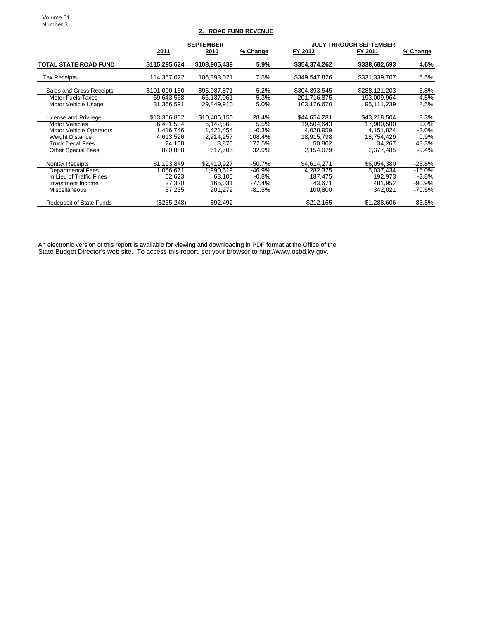Volume 51 Number 3

# **2. ROAD FUND REVENUE**

|                                 |               | <b>SEPTEMBER</b> |          | <b>JULY THROUGH SEPTEMBER</b> |               |          |
|---------------------------------|---------------|------------------|----------|-------------------------------|---------------|----------|
|                                 | <u>2011</u>   | 2010             | % Change | FY 2012                       | FY 2011       | % Change |
| <b>TOTAL STATE ROAD FUND</b>    | \$115,295,624 | \$108,905,439    | 5.9%     | \$354,374,262                 | \$338,682,693 | 4.6%     |
| Tax Receipts-                   | 114,357,022   | 106,393,021      | 7.5%     | \$349,547,826                 | \$331,339,707 | 5.5%     |
| Sales and Gross Receipts        | \$101.000.160 | \$95,987,871     | 5.2%     | \$304.893.545                 | \$288,121,203 | 5.8%     |
| Motor Fuels Taxes               | 69,643,568    | 66,137,961       | 5.3%     | 201,716,875                   | 193,009,964   | 4.5%     |
| Motor Vehicle Usage             | 31,356,591    | 29,849,910       | 5.0%     | 103,176,670                   | 95,111,239    | 8.5%     |
| License and Privilege           | \$13,356,862  | \$10,405,150     | 28.4%    | \$44.654.281                  | \$43.218.504  | 3.3%     |
| <b>Motor Vehicles</b>           | 6,481,534     | 6.142.863        | 5.5%     | 19.504.643                    | 17,900,500    | $9.0\%$  |
| <b>Motor Vehicle Operators</b>  | 1,416,746     | 1,421,454        | $-0.3%$  | 4,028,959                     | 4,151,824     | $-3.0%$  |
| <b>Weight Distance</b>          | 4,613,526     | 2,214,257        | 108.4%   | 18,915,798                    | 18,754,429    | 0.9%     |
| <b>Truck Decal Fees</b>         | 24,168        | 8.870            | 172.5%   | 50.802                        | 34.267        | 48.3%    |
| <b>Other Special Fees</b>       | 820,888       | 617.705          | 32.9%    | 2,154,079                     | 2,377,485     | $-9.4\%$ |
| Nontax Receipts                 | \$1,193,849   | \$2,419,927      | $-50.7%$ | \$4,614,271                   | \$6,054,380   | $-23.8%$ |
| <b>Departmental Fees</b>        | 1.056.671     | 1.990.519        | $-46.9%$ | 4,282,325                     | 5,037,434     | $-15.0%$ |
| In Lieu of Traffic Fines        | 62,623        | 63,105           | $-0.8\%$ | 187,475                       | 192,973       | $-2.8%$  |
| Investment Income               | 37,320        | 165,031          | -77.4%   | 43,671                        | 481.952       | $-90.9%$ |
| <b>Miscellaneous</b>            | 37,235        | 201,272          | -81.5%   | 100,800                       | 342,021       | -70.5%   |
| <b>Redeposit of State Funds</b> | (\$255,248)   | \$92,492         | ---      | \$212,165                     | \$1,288,606   | -83.5%   |

An electronic version of this report is available for viewing and downloading in PDF format at the Office of the State Budget Director's web site. To access this report, set your browser to http://www.osbd.ky.gov.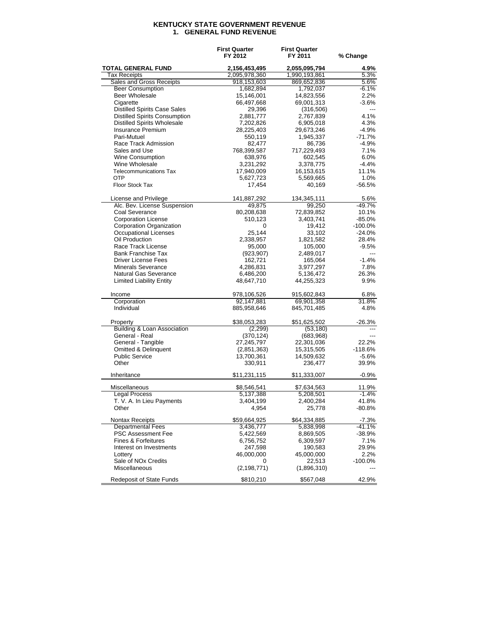## **KENTUCKY STATE GOVERNMENT REVENUE 1. GENERAL FUND REVENUE**

|                                                    | <b>First Quarter</b><br>FY 2012 | <b>First Quarter</b><br>FY 2011 | % Change       |  |
|----------------------------------------------------|---------------------------------|---------------------------------|----------------|--|
| <b>TOTAL GENERAL FUND</b>                          | 2,156,453,495                   | 2,055,095,794                   | 4.9%           |  |
| <b>Tax Receipts</b>                                | 2,095,978,360                   | 1,990,193,861                   | 5.3%           |  |
| Sales and Gross Receipts                           | 918,153,603                     | 869,652,836                     | 5.6%           |  |
| <b>Beer Consumption</b>                            | 1,682,894                       | 1,792,037                       | $-6.1%$        |  |
| <b>Beer Wholesale</b>                              | 15,146,001                      | 14,823,556                      | 2.2%           |  |
| Cigarette                                          | 66,497,668                      | 69,001,313                      | $-3.6%$        |  |
| <b>Distilled Spirits Case Sales</b>                | 29,396                          | (316, 506)                      | $\overline{a}$ |  |
| <b>Distilled Spirits Consumption</b>               | 2,881,777                       | 2,767,839                       | 4.1%           |  |
| <b>Distilled Spirits Wholesale</b>                 | 7,202,826                       | 6,905,018                       | 4.3%           |  |
| Insurance Premium                                  | 28,225,403                      | 29,673,246                      | $-4.9%$        |  |
| Pari-Mutuel                                        | 550,119                         | 1,945,337                       | $-71.7%$       |  |
| Race Track Admission                               | 82,477                          | 86,736                          | $-4.9%$        |  |
| Sales and Use                                      | 768,399,587                     | 717,229,493                     | 7.1%           |  |
| <b>Wine Consumption</b>                            | 638,976                         | 602,545                         | 6.0%           |  |
| Wine Wholesale                                     | 3,231,292                       | 3,378,775                       | $-4.4%$        |  |
| <b>Telecommunications Tax</b>                      | 17,940,009                      | 16,153,615                      | 11.1%          |  |
| <b>OTP</b>                                         | 5,627,723                       | 5,569,665                       | 1.0%           |  |
| Floor Stock Tax                                    | 17,454                          | 40,169                          | $-56.5%$       |  |
| License and Privilege                              | 141,887,292                     | 134,345,111                     | 5.6%           |  |
| Alc. Bev. License Suspension                       | 49,875                          | 99,250                          | $-49.7%$       |  |
| Coal Severance                                     | 80,208,638                      | 72,839,852                      | 10.1%          |  |
| <b>Corporation License</b>                         | 510,123                         | 3,403,741                       | $-85.0%$       |  |
| Corporation Organization                           | 0                               | 19,412                          | $-100.0%$      |  |
| Occupational Licenses                              | 25,144                          | 33,102                          | $-24.0%$       |  |
| Oil Production                                     | 2,338,957                       | 1,821,582                       | 28.4%          |  |
| Race Track License                                 | 95,000                          | 105,000                         | $-9.5%$        |  |
| <b>Bank Franchise Tax</b>                          | (923, 907)                      | 2,489,017                       | ---            |  |
| <b>Driver License Fees</b>                         | 162,721                         | 165,064                         | $-1.4%$        |  |
| <b>Minerals Severance</b>                          | 4,286,831                       | 3,977,297                       | 7.8%           |  |
| Natural Gas Severance                              | 6,486,200                       | 5,136,472                       | 26.3%          |  |
| <b>Limited Liability Entity</b>                    | 48,647,710                      | 44,255,323                      | 9.9%           |  |
| Income                                             | 978,106,526                     | 915,602,843                     | 6.8%           |  |
| Corporation                                        | 92,147,881                      | 69,901,358                      | 31.8%          |  |
| Individual                                         | 885,958,646                     | 845,701,485                     | 4.8%           |  |
| Property<br><b>Building &amp; Loan Association</b> | \$38,053,283<br>(2,299)         | \$51,625,502<br>(53, 180)       | $-26.3%$       |  |
| General - Real                                     |                                 |                                 |                |  |
| General - Tangible                                 | (370, 124)<br>27,245,797        | (683,968)<br>22,301,036         | 22.2%          |  |
| Omitted & Delinquent                               |                                 | 15,315,505                      | $-118.6%$      |  |
| <b>Public Service</b>                              | (2,851,363)                     | 14,509,632                      | $-5.6%$        |  |
| Other                                              | 13,700,361<br>330,911           | 236,477                         | 39.9%          |  |
| Inheritance                                        | \$11,231,115                    | \$11,333,007                    | $-0.9%$        |  |
| Miscellaneous                                      | \$8,546,541                     | \$7,634,563                     | 11.9%          |  |
| <b>Legal Process</b>                               | 5,137,388                       | 5,208,501                       | $-1.4%$        |  |
| T. V. A. In Lieu Payments                          | 3,404,199                       | 2,400,284                       | 41.8%          |  |
| Other                                              | 4,954                           | 25,778                          | $-80.8%$       |  |
| Nontax Receipts                                    | \$59,664,925                    | \$64,334,885                    | $-7.3%$        |  |
| <b>Departmental Fees</b>                           | 3,436,777                       | 5,838,998                       | -41.1%         |  |
| <b>PSC Assessment Fee</b>                          | 5,422,569                       | 8,869,505                       | -38.9%         |  |
| <b>Fines &amp; Forfeitures</b>                     | 6,756,752                       | 6,309,597                       | 7.1%           |  |
| Interest on Investments                            | 247,598                         | 190,583                         | 29.9%          |  |
| Lottery                                            | 46,000,000                      | 45,000,000                      | 2.2%           |  |
| Sale of NO <sub>x</sub> Credits                    | 0                               | 22,513                          | $-100.0\%$     |  |
| Miscellaneous                                      | (2, 198, 771)                   | (1,896,310)                     |                |  |
| Redeposit of State Funds                           | \$810,210                       | \$567,048                       | 42.9%          |  |